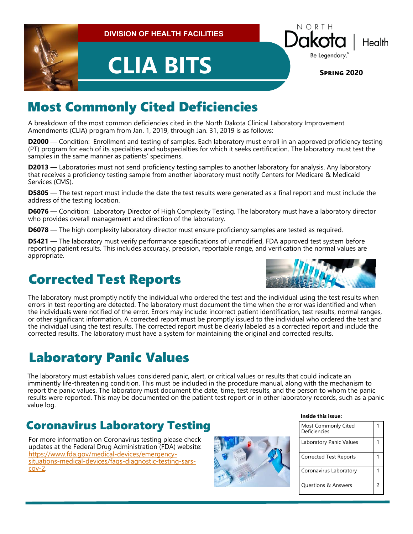**DIVISION OF HEALTH FACILITIES** 

# **CLIA BITS**



**SPRING 2020** 

# Most Commonly Cited Deficiencies

A breakdown of the most common deficiencies cited in the North Dakota Clinical Laboratory Improvement Amendments (CLIA) program from Jan. 1, 2019, through Jan. 31, 2019 is as follows:

**D2000** — Condition: Enrollment and testing of samples. Each laboratory must enroll in an approved proficiency testing (PT) program for each of its specialties and subspecialties for which it seeks certification. The laboratory must test the samples in the same manner as patients' specimens.

**D2013** — Laboratories must not send proficiency testing samples to another laboratory for analysis. Any laboratory that receives a proficiency testing sample from another laboratory must notify Centers for Medicare & Medicaid Services (CMS).

**D5805** — The test report must include the date the test results were generated as a final report and must include the address of the testing location.

**D6076** — Condition: Laboratory Director of High Complexity Testing. The laboratory must have a laboratory director who provides overall management and direction of the laboratory.

**D6078** — The high complexity laboratory director must ensure proficiency samples are tested as required.

**D5421** — The laboratory must verify performance specifications of unmodified, FDA approved test system before reporting patient results. This includes accuracy, precision, reportable range, and verification the normal values are appropriate.

# Corrected Test Reports



The laboratory must promptly notify the individual who ordered the test and the individual using the test results when errors in test reporting are detected. The laboratory must document the time when the error was identified and when the individuals were notified of the error. Errors may include: incorrect patient identification, test results, normal ranges, or other significant information. A corrected report must be promptly issued to the individual who ordered the test and the individual using the test results. The corrected report must be clearly labeled as a corrected report and include the corrected results. The laboratory must have a system for maintaining the original and corrected results.

# Laboratory Panic Values

The laboratory must establish values considered panic, alert, or critical values or results that could indicate an imminently life-threatening condition. This must be included in the procedure manual, along with the mechanism to report the panic values. The laboratory must document the date, time, test results, and the person to whom the panic results were reported. This may be documented on the patient test report or in other laboratory records, such as a panic value log.

## Coronavirus Laboratory Testing

For more information on Coronavirus testing please check updates at the Federal Drug Administration (FDA) website: https://www.fda.gov/medical-devices/emergencysituations-medical-devices/faqs-diagnostic-testing-sarscov-2.



#### **Inside this issue:**

| <b>Most Commonly Cited</b><br>Deficiencies |   |
|--------------------------------------------|---|
| Laboratory Panic Values                    |   |
| <b>Corrected Test Reports</b>              |   |
| Coronavirus Laboratory                     |   |
| <b>Questions &amp; Answers</b>             | 2 |